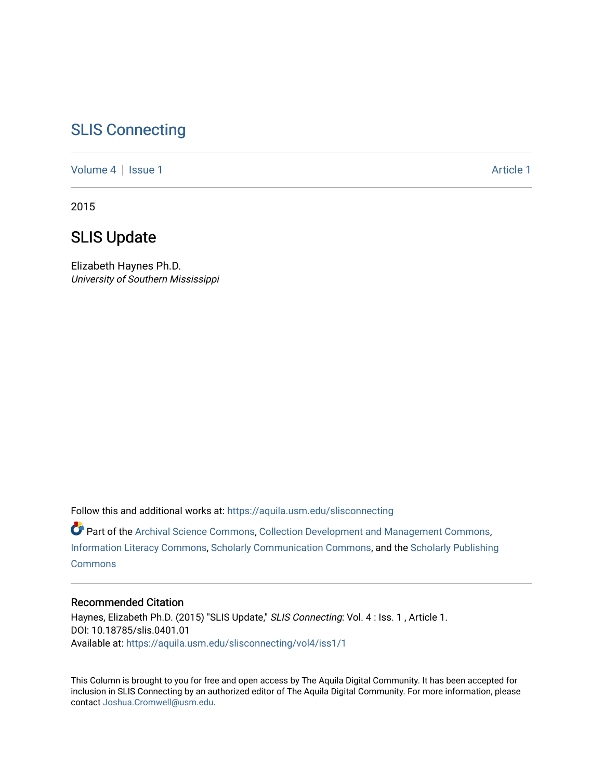## [SLIS Connecting](https://aquila.usm.edu/slisconnecting)

[Volume 4](https://aquila.usm.edu/slisconnecting/vol4) | [Issue 1](https://aquila.usm.edu/slisconnecting/vol4/iss1) Article 1

2015

## SLIS Update

Elizabeth Haynes Ph.D. University of Southern Mississippi

Follow this and additional works at: [https://aquila.usm.edu/slisconnecting](https://aquila.usm.edu/slisconnecting?utm_source=aquila.usm.edu%2Fslisconnecting%2Fvol4%2Fiss1%2F1&utm_medium=PDF&utm_campaign=PDFCoverPages) 

Part of the [Archival Science Commons,](http://network.bepress.com/hgg/discipline/1021?utm_source=aquila.usm.edu%2Fslisconnecting%2Fvol4%2Fiss1%2F1&utm_medium=PDF&utm_campaign=PDFCoverPages) [Collection Development and Management Commons,](http://network.bepress.com/hgg/discipline/1271?utm_source=aquila.usm.edu%2Fslisconnecting%2Fvol4%2Fiss1%2F1&utm_medium=PDF&utm_campaign=PDFCoverPages) [Information Literacy Commons,](http://network.bepress.com/hgg/discipline/1243?utm_source=aquila.usm.edu%2Fslisconnecting%2Fvol4%2Fiss1%2F1&utm_medium=PDF&utm_campaign=PDFCoverPages) [Scholarly Communication Commons](http://network.bepress.com/hgg/discipline/1272?utm_source=aquila.usm.edu%2Fslisconnecting%2Fvol4%2Fiss1%2F1&utm_medium=PDF&utm_campaign=PDFCoverPages), and the [Scholarly Publishing](http://network.bepress.com/hgg/discipline/1273?utm_source=aquila.usm.edu%2Fslisconnecting%2Fvol4%2Fiss1%2F1&utm_medium=PDF&utm_campaign=PDFCoverPages)  **[Commons](http://network.bepress.com/hgg/discipline/1273?utm_source=aquila.usm.edu%2Fslisconnecting%2Fvol4%2Fiss1%2F1&utm_medium=PDF&utm_campaign=PDFCoverPages)** 

## Recommended Citation

Haynes, Elizabeth Ph.D. (2015) "SLIS Update," SLIS Connecting: Vol. 4 : Iss. 1, Article 1. DOI: 10.18785/slis.0401.01 Available at: [https://aquila.usm.edu/slisconnecting/vol4/iss1/1](https://aquila.usm.edu/slisconnecting/vol4/iss1/1?utm_source=aquila.usm.edu%2Fslisconnecting%2Fvol4%2Fiss1%2F1&utm_medium=PDF&utm_campaign=PDFCoverPages)

This Column is brought to you for free and open access by The Aquila Digital Community. It has been accepted for inclusion in SLIS Connecting by an authorized editor of The Aquila Digital Community. For more information, please contact [Joshua.Cromwell@usm.edu.](mailto:Joshua.Cromwell@usm.edu)